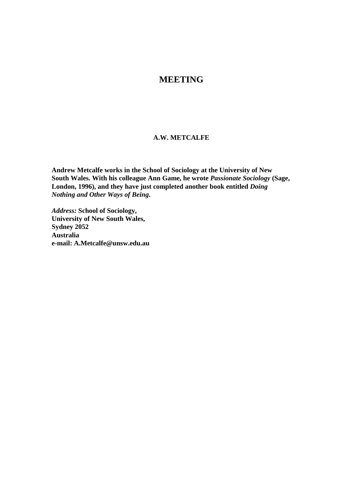# **MEETING**

## **A.W. METCALFE**

**Andrew Metcalfe works in the School of Sociology at the University of New South Wales. With his colleague Ann Game, he wrote** *Passionate Sociology* **(Sage, London, 1996), and they have just completed another book entitled** *Doing Nothing and Other Ways of Being***.**

*Address:* **School of Sociology, University of New South Wales, Sydney 2052 Australia e-mail: A.Metcalfe@unsw.edu.au**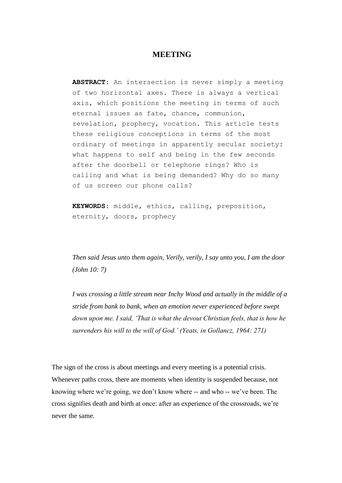## **MEETING**

**ABSTRACT:** An intersection is never simply a meeting of two horizontal axes. There is always a vertical axis, which positions the meeting in terms of such eternal issues as fate, chance, communion, revelation, prophecy, vocation. This article tests these religious conceptions in terms of the most ordinary of meetings in apparently secular society: what happens to self and being in the few seconds after the doorbell or telephone rings? Who is calling and what is being demanded? Why do so many of us screen our phone calls?

**KEYWORDS:** middle, ethics, calling, preposition, eternity, doors, prophecy

*Then said Jesus unto them again, Verily, verily, I say unto you, I am the door (John 10: 7)*

*I was crossing a little stream near Inchy Wood and actually in the middle of a stride from bank to bank, when an emotion never experienced before swept down upon me. I said, 'That is what the devout Christian feels, that is how he surrenders his will to the will of God.' (Yeats, in Gollancz, 1964: 271)*

The sign of the cross is about meetings and every meeting is a potential crisis. Whenever paths cross, there are moments when identity is suspended because, not knowing where we're going, we don't know where -- and who -- we've been. The cross signifies death and birth at once: after an experience of the crossroads, we"re never the same.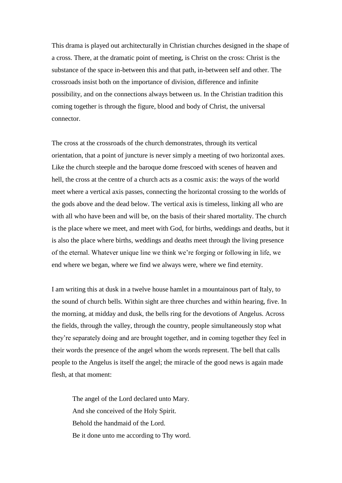This drama is played out architecturally in Christian churches designed in the shape of a cross. There, at the dramatic point of meeting, is Christ on the cross: Christ is the substance of the space in-between this and that path, in-between self and other. The crossroads insist both on the importance of division, difference and infinite possibility, and on the connections always between us. In the Christian tradition this coming together is through the figure, blood and body of Christ, the universal connector.

The cross at the crossroads of the church demonstrates, through its vertical orientation, that a point of juncture is never simply a meeting of two horizontal axes. Like the church steeple and the baroque dome frescoed with scenes of heaven and hell, the cross at the centre of a church acts as a cosmic axis: the ways of the world meet where a vertical axis passes, connecting the horizontal crossing to the worlds of the gods above and the dead below. The vertical axis is timeless, linking all who are with all who have been and will be, on the basis of their shared mortality. The church is the place where we meet, and meet with God, for births, weddings and deaths, but it is also the place where births, weddings and deaths meet through the living presence of the eternal. Whatever unique line we think we"re forging or following in life, we end where we began, where we find we always were, where we find eternity.

I am writing this at dusk in a twelve house hamlet in a mountainous part of Italy, to the sound of church bells. Within sight are three churches and within hearing, five. In the morning, at midday and dusk, the bells ring for the devotions of Angelus. Across the fields, through the valley, through the country, people simultaneously stop what they"re separately doing and are brought together, and in coming together they feel in their words the presence of the angel whom the words represent. The bell that calls people to the Angelus is itself the angel; the miracle of the good news is again made flesh, at that moment:

The angel of the Lord declared unto Mary. And she conceived of the Holy Spirit. Behold the handmaid of the Lord. Be it done unto me according to Thy word.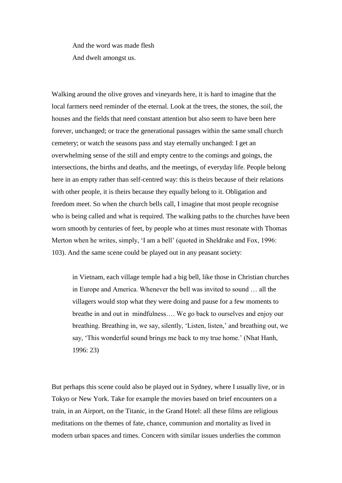And the word was made flesh And dwelt amongst us.

Walking around the olive groves and vineyards here, it is hard to imagine that the local farmers need reminder of the eternal. Look at the trees, the stones, the soil, the houses and the fields that need constant attention but also seem to have been here forever, unchanged; or trace the generational passages within the same small church cemetery; or watch the seasons pass and stay eternally unchanged: I get an overwhelming sense of the still and empty centre to the comings and goings, the intersections, the births and deaths, and the meetings, of everyday life. People belong here in an empty rather than self-centred way: this is theirs because of their relations with other people, it is theirs because they equally belong to it. Obligation and freedom meet. So when the church bells call, I imagine that most people recognise who is being called and what is required. The walking paths to the churches have been worn smooth by centuries of feet, by people who at times must resonate with Thomas Merton when he writes, simply, 'I am a bell' (quoted in Sheldrake and Fox, 1996: 103). And the same scene could be played out in any peasant society:

in Vietnam, each village temple had a big bell, like those in Christian churches in Europe and America. Whenever the bell was invited to sound … all the villagers would stop what they were doing and pause for a few moments to breathe in and out in mindfulness…. We go back to ourselves and enjoy our breathing. Breathing in, we say, silently, 'Listen, listen,' and breathing out, we say, 'This wonderful sound brings me back to my true home.' (Nhat Hanh, 1996: 23)

But perhaps this scene could also be played out in Sydney, where I usually live, or in Tokyo or New York. Take for example the movies based on brief encounters on a train, in an Airport, on the Titanic, in the Grand Hotel: all these films are religious meditations on the themes of fate, chance, communion and mortality as lived in modern urban spaces and times. Concern with similar issues underlies the common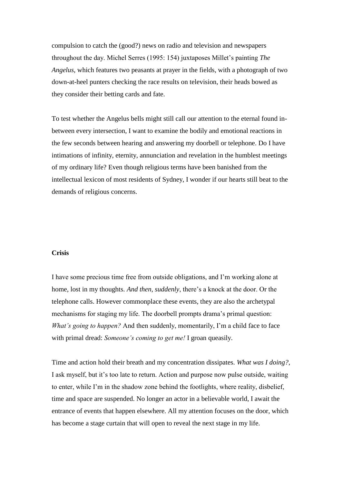compulsion to catch the (good?) news on radio and television and newspapers throughout the day. Michel Serres (1995: 154) juxtaposes Millet"s painting *The Angelus*, which features two peasants at prayer in the fields, with a photograph of two down-at-heel punters checking the race results on television, their heads bowed as they consider their betting cards and fate.

To test whether the Angelus bells might still call our attention to the eternal found inbetween every intersection, I want to examine the bodily and emotional reactions in the few seconds between hearing and answering my doorbell or telephone. Do I have intimations of infinity, eternity, annunciation and revelation in the humblest meetings of my ordinary life? Even though religious terms have been banished from the intellectual lexicon of most residents of Sydney, I wonder if our hearts still beat to the demands of religious concerns.

#### **Crisis**

I have some precious time free from outside obligations, and I"m working alone at home, lost in my thoughts. *And then, suddenly*, there's a knock at the door. Or the telephone calls. However commonplace these events, they are also the archetypal mechanisms for staging my life. The doorbell prompts drama"s primal question: *What's going to happen?* And then suddenly, momentarily, I"m a child face to face with primal dread: *Someone's coming to get me!* I groan queasily.

Time and action hold their breath and my concentration dissipates. *What was I doing?*, I ask myself, but it's too late to return. Action and purpose now pulse outside, waiting to enter, while I"m in the shadow zone behind the footlights, where reality, disbelief, time and space are suspended. No longer an actor in a believable world, I await the entrance of events that happen elsewhere. All my attention focuses on the door, which has become a stage curtain that will open to reveal the next stage in my life.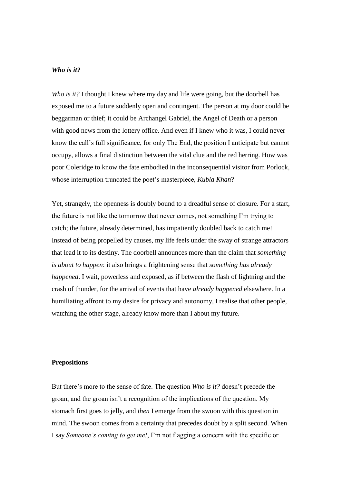## *Who is it?*

*Who is it?* I thought I knew where my day and life were going, but the doorbell has exposed me to a future suddenly open and contingent. The person at my door could be beggarman or thief; it could be Archangel Gabriel, the Angel of Death or a person with good news from the lottery office. And even if I knew who it was, I could never know the call"s full significance, for only The End, the position I anticipate but cannot occupy, allows a final distinction between the vital clue and the red herring. How was poor Coleridge to know the fate embodied in the inconsequential visitor from Porlock, whose interruption truncated the poet"s masterpiece, *Kubla Khan*?

Yet, strangely, the openness is doubly bound to a dreadful sense of closure. For a start, the future is not like the tomorrow that never comes, not something I"m trying to catch; the future, already determined, has impatiently doubled back to catch me! Instead of being propelled by causes, my life feels under the sway of strange attractors that lead it to its destiny. The doorbell announces more than the claim that *something is about to happen*: it also brings a frightening sense that *something has already happened*. I wait, powerless and exposed, as if between the flash of lightning and the crash of thunder, for the arrival of events that have *already happened* elsewhere. In a humiliating affront to my desire for privacy and autonomy, I realise that other people, watching the other stage, already know more than I about my future.

#### **Prepositions**

But there"s more to the sense of fate. The question *Who is it?* doesn"t precede the groan, and the groan isn"t a recognition of the implications of the question. My stomach first goes to jelly, and *then* I emerge from the swoon with this question in mind. The swoon comes from a certainty that precedes doubt by a split second. When I say *Someone's coming to get me!*, I"m not flagging a concern with the specific or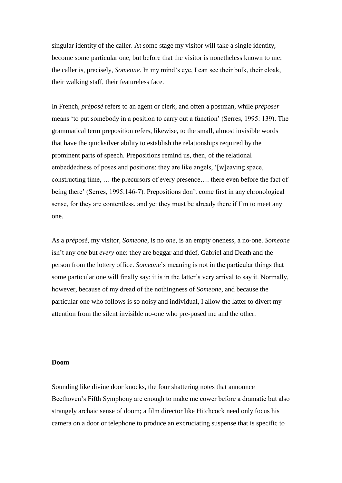singular identity of the caller. At some stage my visitor will take a single identity, become some particular one, but before that the visitor is nonetheless known to me: the caller is, precisely, *Someone*. In my mind"s eye, I can see their bulk, their cloak, their walking staff, their featureless face.

In French, *préposé* refers to an agent or clerk, and often a postman, while *préposer* means "to put somebody in a position to carry out a function" (Serres, 1995: 139). The grammatical term preposition refers, likewise, to the small, almost invisible words that have the quicksilver ability to establish the relationships required by the prominent parts of speech. Prepositions remind us, then, of the relational embeddedness of poses and positions: they are like angels, "[w]eaving space, constructing time, … the precursors of every presence…. there even before the fact of being there" (Serres, 1995:146-7). Prepositions don"t come first in any chronological sense, for they are contentless, and yet they must be already there if I"m to meet any one.

As a *préposé*, my visitor, *Someone*, is no *one*, is an empty oneness, a no-one. *Someone* isn"t any *one* but *every* one: they are beggar and thief, Gabriel and Death and the person from the lottery office. *Someone*"s meaning is not in the particular things that some particular one will finally say: it is in the latter's very arrival to say it. Normally, however, because of my dread of the nothingness of *Someone*, and because the particular one who follows is so noisy and individual, I allow the latter to divert my attention from the silent invisible no-one who pre-posed me and the other.

#### **Doom**

Sounding like divine door knocks, the four shattering notes that announce Beethoven"s Fifth Symphony are enough to make me cower before a dramatic but also strangely archaic sense of doom; a film director like Hitchcock need only focus his camera on a door or telephone to produce an excruciating suspense that is specific to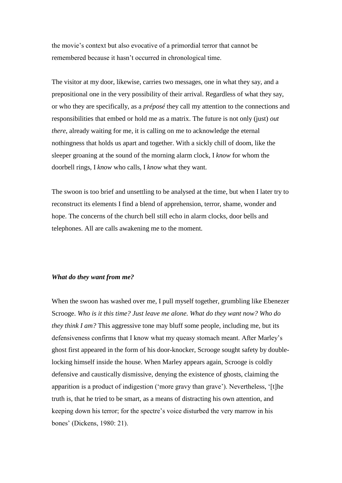the movie"s context but also evocative of a primordial terror that cannot be remembered because it hasn"t occurred in chronological time.

The visitor at my door, likewise, carries two messages, one in what they say, and a prepositional one in the very possibility of their arrival. Regardless of what they say, or who they are specifically, as a *préposé* they call my attention to the connections and responsibilities that embed or hold me as a matrix. The future is not only (just) *out there*, already waiting for me, it is calling on me to acknowledge the eternal nothingness that holds us apart and together. With a sickly chill of doom, like the sleeper groaning at the sound of the morning alarm clock, I *know* for whom the doorbell rings, I *know* who calls, I *know* what they want.

The swoon is too brief and unsettling to be analysed at the time, but when I later try to reconstruct its elements I find a blend of apprehension, terror, shame, wonder and hope. The concerns of the church bell still echo in alarm clocks, door bells and telephones. All are calls awakening me to the moment.

#### *What do they want from me?*

When the swoon has washed over me, I pull myself together, grumbling like Ebenezer Scrooge. *Who is it this time? Just leave me alone. What do they want now? Who do they think I am?* This aggressive tone may bluff some people, including me, but its defensiveness confirms that I know what my queasy stomach meant. After Marley"s ghost first appeared in the form of his door-knocker, Scrooge sought safety by doublelocking himself inside the house. When Marley appears again, Scrooge is coldly defensive and caustically dismissive, denying the existence of ghosts, claiming the apparition is a product of indigestion ("more gravy than grave"). Nevertheless, "[t]he truth is, that he tried to be smart, as a means of distracting his own attention, and keeping down his terror; for the spectre"s voice disturbed the very marrow in his bones" (Dickens, 1980: 21).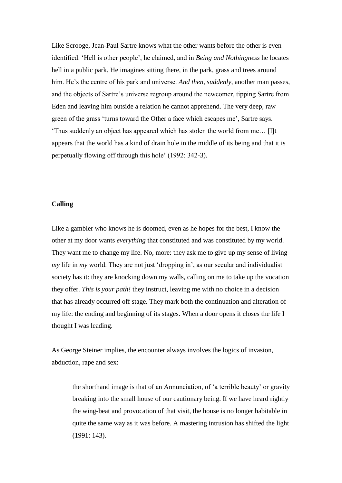Like Scrooge, Jean-Paul Sartre knows what the other wants before the other is even identified. "Hell is other people", he claimed, and in *Being and Nothingness* he locates hell in a public park. He imagines sitting there, in the park, grass and trees around him. He's the centre of his park and universe. *And then, suddenly*, another man passes, and the objects of Sartre's universe regroup around the newcomer, tipping Sartre from Eden and leaving him outside a relation he cannot apprehend. The very deep, raw green of the grass "turns toward the Other a face which escapes me", Sartre says. "Thus suddenly an object has appeared which has stolen the world from me… [I]t appears that the world has a kind of drain hole in the middle of its being and that it is perpetually flowing off through this hole" (1992: 342-3).

#### **Calling**

Like a gambler who knows he is doomed, even as he hopes for the best, I know the other at my door wants *everything* that constituted and was constituted by my world. They want me to change my life. No, more: they ask me to give up my sense of living *my* life in *my* world. They are not just 'dropping in', as our secular and individualist society has it: they are knocking down my walls, calling on me to take up the vocation they offer. *This is your path!* they instruct, leaving me with no choice in a decision that has already occurred off stage. They mark both the continuation and alteration of my life: the ending and beginning of its stages. When a door opens it closes the life I thought I was leading.

As George Steiner implies, the encounter always involves the logics of invasion, abduction, rape and sex:

the shorthand image is that of an Annunciation, of "a terrible beauty" or gravity breaking into the small house of our cautionary being. If we have heard rightly the wing-beat and provocation of that visit, the house is no longer habitable in quite the same way as it was before. A mastering intrusion has shifted the light (1991: 143).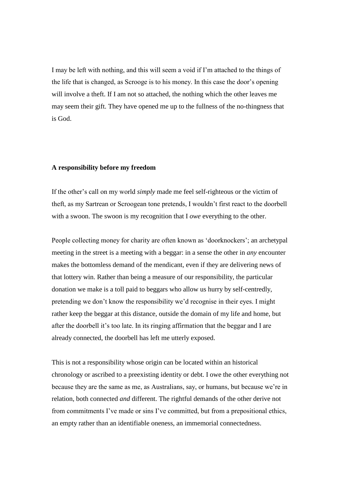I may be left with nothing, and this will seem a void if I"m attached to the things of the life that is changed, as Scrooge is to his money. In this case the door"s opening will involve a theft. If I am not so attached, the nothing which the other leaves me may seem their gift. They have opened me up to the fullness of the no-thingness that is God.

#### **A responsibility before my freedom**

If the other"s call on my world *simply* made me feel self-righteous or the victim of theft, as my Sartrean or Scroogean tone pretends, I wouldn"t first react to the doorbell with a swoon. The swoon is my recognition that I *owe* everything to the other.

People collecting money for charity are often known as 'doorknockers'; an archetypal meeting in the street is a meeting with a beggar: in a sense the other in *any* encounter makes the bottomless demand of the mendicant, even if they are delivering news of that lottery win. Rather than being a measure of our responsibility, the particular donation we make is a toll paid to beggars who allow us hurry by self-centredly, pretending we don"t know the responsibility we"d recognise in their eyes. I might rather keep the beggar at this distance, outside the domain of my life and home, but after the doorbell it"s too late. In its ringing affirmation that the beggar and I are already connected, the doorbell has left me utterly exposed.

This is not a responsibility whose origin can be located within an historical chronology or ascribed to a preexisting identity or debt. I owe the other everything not because they are the same as me, as Australians, say, or humans, but because we"re in relation, both connected *and* different. The rightful demands of the other derive not from commitments I"ve made or sins I"ve committed, but from a prepositional ethics, an empty rather than an identifiable oneness, an immemorial connectedness.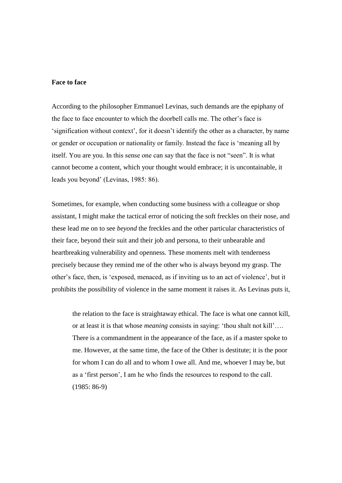#### **Face to face**

According to the philosopher Emmanuel Levinas, such demands are the epiphany of the face to face encounter to which the doorbell calls me. The other"s face is 'signification without context', for it doesn't identify the other as a character, by name or gender or occupation or nationality or family. Instead the face is "meaning all by itself. You are you. In this sense one can say that the face is not "seen". It is what cannot become a content, which your thought would embrace; it is uncontainable, it leads you beyond" (Levinas, 1985: 86).

Sometimes, for example, when conducting some business with a colleague or shop assistant, I might make the tactical error of noticing the soft freckles on their nose, and these lead me on to see *beyond* the freckles and the other particular characteristics of their face, beyond their suit and their job and persona, to their unbearable and heartbreaking vulnerability and openness. These moments melt with tenderness precisely because they remind me of the other who is always beyond my grasp. The other"s face, then, is "exposed, menaced, as if inviting us to an act of violence", but it prohibits the possibility of violence in the same moment it raises it. As Levinas puts it,

the relation to the face is straightaway ethical. The face is what one cannot kill, or at least it is that whose *meaning* consists in saying: "thou shalt not kill"…. There is a commandment in the appearance of the face, as if a master spoke to me. However, at the same time, the face of the Other is destitute; it is the poor for whom I can do all and to whom I owe all. And me, whoever I may be, but as a "first person", I am he who finds the resources to respond to the call. (1985: 86-9)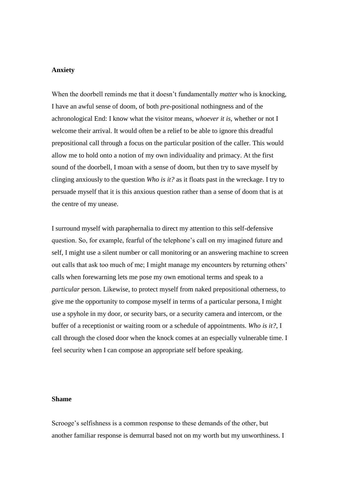#### **Anxiety**

When the doorbell reminds me that it doesn"t fundamentally *matter* who is knocking, I have an awful sense of doom, of both *pre*-positional nothingness and of the achronological End: I know what the visitor means, *whoever it is*, whether or not I welcome their arrival. It would often be a relief to be able to ignore this dreadful prepositional call through a focus on the particular position of the caller. This would allow me to hold onto a notion of my own individuality and primacy. At the first sound of the doorbell, I moan with a sense of doom, but then try to save myself by clinging anxiously to the question *Who is it?* as it floats past in the wreckage. I try to persuade myself that it is this anxious question rather than a sense of doom that is at the centre of my unease.

I surround myself with paraphernalia to direct my attention to this self-defensive question. So, for example, fearful of the telephone's call on my imagined future and self, I might use a silent number or call monitoring or an answering machine to screen out calls that ask too much of me; I might manage my encounters by returning others" calls when forewarning lets me pose my own emotional terms and speak to a *particular* person. Likewise, to protect myself from naked prepositional otherness, to give me the opportunity to compose myself in terms of a particular persona, I might use a spyhole in my door, or security bars, or a security camera and intercom, or the buffer of a receptionist or waiting room or a schedule of appointments. *Who is it?*, I call through the closed door when the knock comes at an especially vulnerable time. I feel security when I can compose an appropriate self before speaking.

#### **Shame**

Scrooge"s selfishness is a common response to these demands of the other, but another familiar response is demurral based not on my worth but my unworthiness. I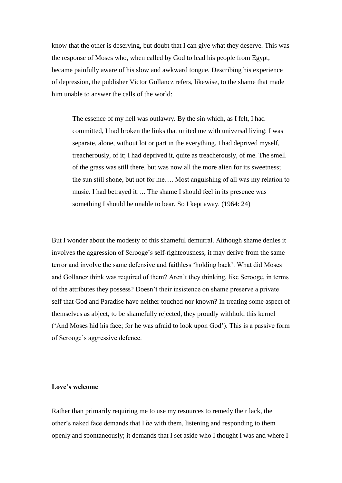know that the other is deserving, but doubt that I can give what they deserve. This was the response of Moses who, when called by God to lead his people from Egypt, became painfully aware of his slow and awkward tongue. Describing his experience of depression, the publisher Victor Gollancz refers, likewise, to the shame that made him unable to answer the calls of the world:

The essence of my hell was outlawry. By the sin which, as I felt, I had committed, I had broken the links that united me with universal living: I was separate, alone, without lot or part in the everything. I had deprived myself, treacherously, of it; I had deprived it, quite as treacherously, of me. The smell of the grass was still there, but was now all the more alien for its sweetness; the sun still shone, but not for me…. Most anguishing of all was my relation to music. I had betrayed it…. The shame I should feel in its presence was something I should be unable to bear. So I kept away. (1964: 24)

But I wonder about the modesty of this shameful demurral. Although shame denies it involves the aggression of Scrooge's self-righteousness, it may derive from the same terror and involve the same defensive and faithless "holding back". What did Moses and Gollancz think was required of them? Aren"t they thinking, like Scrooge, in terms of the attributes they possess? Doesn"t their insistence on shame preserve a private self that God and Paradise have neither touched nor known? In treating some aspect of themselves as abject, to be shamefully rejected, they proudly withhold this kernel ("And Moses hid his face; for he was afraid to look upon God"). This is a passive form of Scrooge"s aggressive defence.

## **Love's welcome**

Rather than primarily requiring me to use my resources to remedy their lack, the other"s naked face demands that I *be* with them, listening and responding to them openly and spontaneously; it demands that I set aside who I thought I was and where I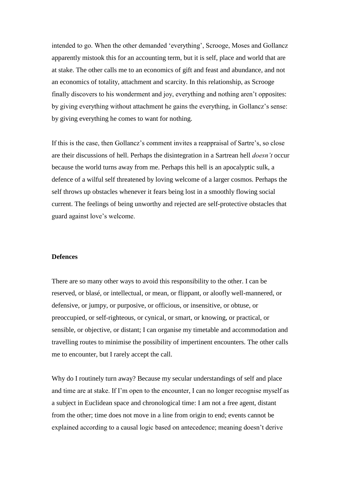intended to go. When the other demanded "everything", Scrooge, Moses and Gollancz apparently mistook this for an accounting term, but it is self, place and world that are at stake. The other calls me to an economics of gift and feast and abundance, and not an economics of totality, attachment and scarcity. In this relationship, as Scrooge finally discovers to his wonderment and joy, everything and nothing aren"t opposites: by giving everything without attachment he gains the everything, in Gollancz"s sense: by giving everything he comes to want for nothing.

If this is the case, then Gollancz"s comment invites a reappraisal of Sartre"s, so close are their discussions of hell. Perhaps the disintegration in a Sartrean hell *doesn't* occur because the world turns away from me. Perhaps this hell is an apocalyptic sulk, a defence of a wilful self threatened by loving welcome of a larger cosmos. Perhaps the self throws up obstacles whenever it fears being lost in a smoothly flowing social current. The feelings of being unworthy and rejected are self-protective obstacles that guard against love"s welcome.

#### **Defences**

There are so many other ways to avoid this responsibility to the other. I can be reserved, or blasé, or intellectual, or mean, or flippant, or aloofly well-mannered, or defensive, or jumpy, or purposive, or officious, or insensitive, or obtuse, or preoccupied, or self-righteous, or cynical, or smart, or knowing, or practical, or sensible, or objective, or distant; I can organise my timetable and accommodation and travelling routes to minimise the possibility of impertinent encounters. The other calls me to encounter, but I rarely accept the call.

Why do I routinely turn away? Because my secular understandings of self and place and time are at stake. If I"m open to the encounter, I can no longer recognise myself as a subject in Euclidean space and chronological time: I am not a free agent, distant from the other; time does not move in a line from origin to end; events cannot be explained according to a causal logic based on antecedence; meaning doesn"t derive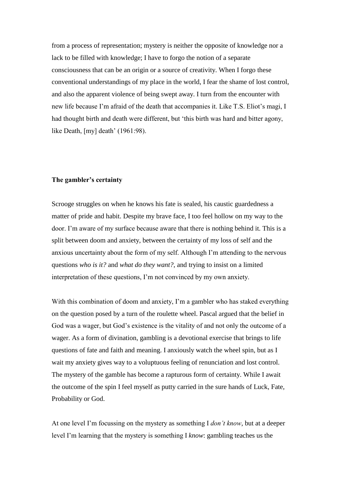from a process of representation; mystery is neither the opposite of knowledge nor a lack to be filled with knowledge; I have to forgo the notion of a separate consciousness that can be an origin or a source of creativity. When I forgo these conventional understandings of my place in the world, I fear the shame of lost control, and also the apparent violence of being swept away. I turn from the encounter with new life because I'm afraid of the death that accompanies it. Like T.S. Eliot's magi, I had thought birth and death were different, but "this birth was hard and bitter agony, like Death,  $[my]$  death' (1961:98).

### **The gambler's certainty**

Scrooge struggles on when he knows his fate is sealed, his caustic guardedness a matter of pride and habit. Despite my brave face, I too feel hollow on my way to the door. I"m aware of my surface because aware that there is nothing behind it. This is a split between doom and anxiety, between the certainty of my loss of self and the anxious uncertainty about the form of my self. Although I"m attending to the nervous questions *who is it?* and *what do they want?*, and trying to insist on a limited interpretation of these questions, I'm not convinced by my own anxiety.

With this combination of doom and anxiety, I'm a gambler who has staked everything on the question posed by a turn of the roulette wheel. Pascal argued that the belief in God was a wager, but God"s existence is the vitality of and not only the outcome of a wager. As a form of divination, gambling is a devotional exercise that brings to life questions of fate and faith and meaning. I anxiously watch the wheel spin, but as I wait my anxiety gives way to a voluptuous feeling of renunciation and lost control. The mystery of the gamble has become a rapturous form of certainty. While I await the outcome of the spin I feel myself as putty carried in the sure hands of Luck, Fate, Probability or God.

At one level I"m focussing on the mystery as something I *don't know*, but at a deeper level I"m learning that the mystery is something I *know*: gambling teaches us the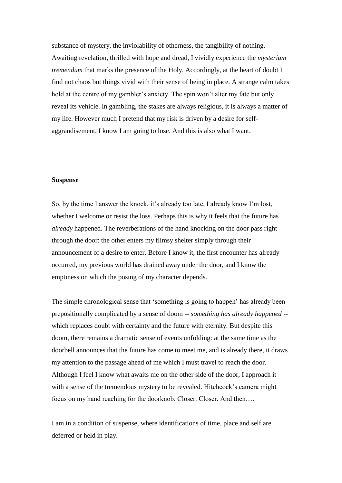substance of mystery, the inviolability of otherness, the tangibility of nothing. Awaiting revelation, thrilled with hope and dread, I vividly experience the *mysterium tremendum* that marks the presence of the Holy. Accordingly, at the heart of doubt I find not chaos but things vivid with their sense of being in place. A strange calm takes hold at the centre of my gambler's anxiety. The spin won't alter my fate but only reveal its vehicle. In gambling, the stakes are always religious, it is always a matter of my life. However much I pretend that my risk is driven by a desire for selfaggrandisement, I know I am going to lose. And this is also what I want.

#### **Suspense**

So, by the time I answer the knock, it's already too late, I already know I'm lost, whether I welcome or resist the loss. Perhaps this is why it feels that the future has *already* happened. The reverberations of the hand knocking on the door pass right through the door: the other enters my flimsy shelter simply through their announcement of a desire to enter. Before I know it, the first encounter has already occurred, my previous world has drained away under the door, and I know the emptiness on which the posing of my character depends.

The simple chronological sense that 'something is going to happen' has already been prepositionally complicated by a sense of doom -- *something has already happened* - which replaces doubt with certainty and the future with eternity. But despite this doom, there remains a dramatic sense of events unfolding: at the same time as the doorbell announces that the future has come to meet me, and is already there, it draws my attention to the passage ahead of me which I must travel to reach the door. Although I feel I know what awaits me on the other side of the door, I approach it with a sense of the tremendous mystery to be revealed. Hitchcock's camera might focus on my hand reaching for the doorknob. Closer. Closer. And then….

I am in a condition of suspense, where identifications of time, place and self are deferred or held in play.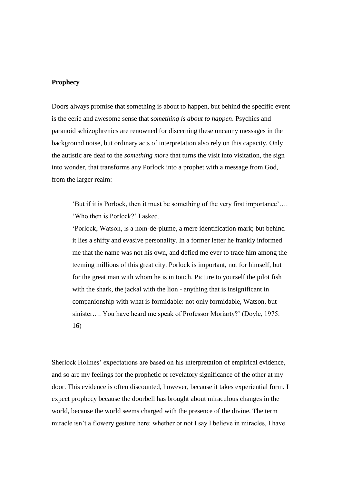### **Prophecy**

Doors always promise that something is about to happen, but behind the specific event is the eerie and awesome sense that *something is about to happen*. Psychics and paranoid schizophrenics are renowned for discerning these uncanny messages in the background noise, but ordinary acts of interpretation also rely on this capacity. Only the autistic are deaf to the *something more* that turns the visit into visitation, the sign into wonder, that transforms any Porlock into a prophet with a message from God, from the larger realm:

"But if it is Porlock, then it must be something of the very first importance"…. "Who then is Porlock?" I asked.

"Porlock, Watson, is a nom-de-plume, a mere identification mark; but behind it lies a shifty and evasive personality. In a former letter he frankly informed me that the name was not his own, and defied me ever to trace him among the teeming millions of this great city. Porlock is important, not for himself, but for the great man with whom he is in touch. Picture to yourself the pilot fish with the shark, the jackal with the lion - anything that is insignificant in companionship with what is formidable: not only formidable, Watson, but sinister.... You have heard me speak of Professor Moriarty?' (Doyle, 1975: 16)

Sherlock Holmes' expectations are based on his interpretation of empirical evidence, and so are my feelings for the prophetic or revelatory significance of the other at my door. This evidence is often discounted, however, because it takes experiential form. I expect prophecy because the doorbell has brought about miraculous changes in the world, because the world seems charged with the presence of the divine. The term miracle isn't a flowery gesture here: whether or not I say I believe in miracles, I have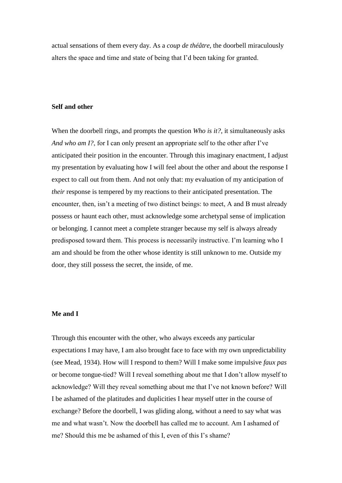actual sensations of them every day. As a *coup de théâtre*, the doorbell miraculously alters the space and time and state of being that I"d been taking for granted.

## **Self and other**

When the doorbell rings, and prompts the question *Who is it?*, it simultaneously asks *And who am I?*, for I can only present an appropriate self to the other after I've anticipated their position in the encounter. Through this imaginary enactment, I adjust my presentation by evaluating how I will feel about the other and about the response I expect to call out from them. And not only that: my evaluation of my anticipation of *their* response is tempered by my reactions to their anticipated presentation. The encounter, then, isn't a meeting of two distinct beings: to meet, A and B must already possess or haunt each other, must acknowledge some archetypal sense of implication or belonging. I cannot meet a complete stranger because my self is always already predisposed toward them. This process is necessarily instructive. I"m learning who I am and should be from the other whose identity is still unknown to me. Outside my door, they still possess the secret, the inside, of me.

## **Me and I**

Through this encounter with the other, who always exceeds any particular expectations I may have, I am also brought face to face with my own unpredictability (see Mead, 1934). How will I respond to them? Will I make some impulsive *faux pas* or become tongue-tied? Will I reveal something about me that I don"t allow myself to acknowledge? Will they reveal something about me that I"ve not known before? Will I be ashamed of the platitudes and duplicities I hear myself utter in the course of exchange? Before the doorbell, I was gliding along, without a need to say what was me and what wasn"t. Now the doorbell has called me to account. Am I ashamed of me? Should this me be ashamed of this I, even of this I"s shame?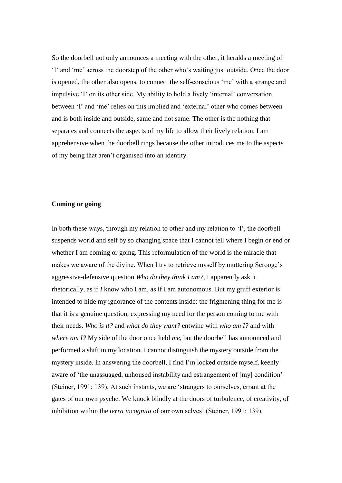So the doorbell not only announces a meeting with the other, it heralds a meeting of "I" and "me" across the doorstep of the other who"s waiting just outside. Once the door is opened, the other also opens, to connect the self-conscious "me" with a strange and impulsive 'I' on its other side. My ability to hold a lively 'internal' conversation between "I" and "me" relies on this implied and "external" other who comes between and is both inside and outside, same and not same. The other is the nothing that separates and connects the aspects of my life to allow their lively relation. I am apprehensive when the doorbell rings because the other introduces me to the aspects of my being that aren"t organised into an identity.

## **Coming or going**

In both these ways, through my relation to other and my relation to 'I', the doorbell suspends world and self by so changing space that I cannot tell where I begin or end or whether I am coming or going. This reformulation of the world is the miracle that makes we aware of the divine. When I try to retrieve myself by muttering Scrooge's aggressive-defensive question *Who do they think I am?,* I apparently ask it rhetorically, as if *I* know who I am, as if I am autonomous. But my gruff exterior is intended to hide my ignorance of the contents inside: the frightening thing for me is that it is a genuine question, expressing my need for the person coming to me with their needs. *Who is it?* and *what do they want?* entwine with *who am I?* and with *where am I?* My side of the door once held *me*, but the doorbell has announced and performed a shift in my location. I cannot distinguish the mystery outside from the mystery inside. In answering the doorbell, I find I"m locked outside myself, keenly aware of 'the unassuaged, unhoused instability and estrangement of [my] condition' (Steiner, 1991: 139). At such instants, we are "strangers to ourselves, errant at the gates of our own psyche. We knock blindly at the doors of turbulence, of creativity, of inhibition within the *terra incognita* of our own selves' (Steiner, 1991: 139).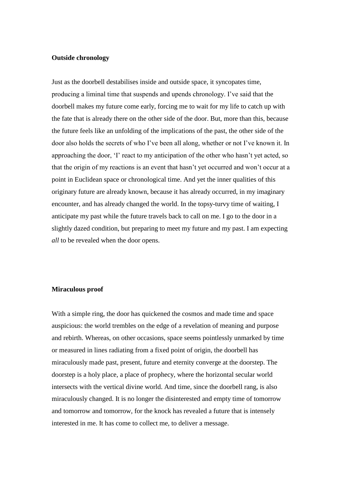#### **Outside chronology**

Just as the doorbell destabilises inside and outside space, it syncopates time, producing a liminal time that suspends and upends chronology. I"ve said that the doorbell makes my future come early, forcing me to wait for my life to catch up with the fate that is already there on the other side of the door. But, more than this, because the future feels like an unfolding of the implications of the past, the other side of the door also holds the secrets of who I"ve been all along, whether or not I"ve known it. In approaching the door, "I" react to my anticipation of the other who hasn"t yet acted, so that the origin of my reactions is an event that hasn"t yet occurred and won"t occur at a point in Euclidean space or chronological time. And yet the inner qualities of this originary future are already known, because it has already occurred, in my imaginary encounter, and has already changed the world. In the topsy-turvy time of waiting, I anticipate my past while the future travels back to call on me. I go to the door in a slightly dazed condition, but preparing to meet my future and my past. I am expecting *all* to be revealed when the door opens.

#### **Miraculous proof**

With a simple ring, the door has quickened the cosmos and made time and space auspicious: the world trembles on the edge of a revelation of meaning and purpose and rebirth. Whereas, on other occasions, space seems pointlessly unmarked by time or measured in lines radiating from a fixed point of origin, the doorbell has miraculously made past, present, future and eternity converge at the doorstep. The doorstep is a holy place, a place of prophecy, where the horizontal secular world intersects with the vertical divine world. And time, since the doorbell rang, is also miraculously changed. It is no longer the disinterested and empty time of tomorrow and tomorrow and tomorrow, for the knock has revealed a future that is intensely interested in me. It has come to collect me, to deliver a message.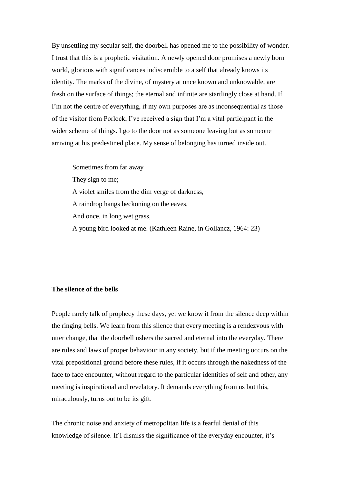By unsettling my secular self, the doorbell has opened me to the possibility of wonder. I trust that this is a prophetic visitation. A newly opened door promises a newly born world, glorious with significances indiscernible to a self that already knows its identity. The marks of the divine, of mystery at once known and unknowable, are fresh on the surface of things; the eternal and infinite are startlingly close at hand. If I"m not the centre of everything, if my own purposes are as inconsequential as those of the visitor from Porlock, I"ve received a sign that I"m a vital participant in the wider scheme of things. I go to the door not as someone leaving but as someone arriving at his predestined place. My sense of belonging has turned inside out.

Sometimes from far away They sign to me; A violet smiles from the dim verge of darkness, A raindrop hangs beckoning on the eaves, And once, in long wet grass, A young bird looked at me. (Kathleen Raine, in Gollancz, 1964: 23)

## **The silence of the bells**

People rarely talk of prophecy these days, yet we know it from the silence deep within the ringing bells. We learn from this silence that every meeting is a rendezvous with utter change, that the doorbell ushers the sacred and eternal into the everyday. There are rules and laws of proper behaviour in any society, but if the meeting occurs on the vital prepositional ground before these rules, if it occurs through the nakedness of the face to face encounter, without regard to the particular identities of self and other, any meeting is inspirational and revelatory. It demands everything from us but this, miraculously, turns out to be its gift.

The chronic noise and anxiety of metropolitan life is a fearful denial of this knowledge of silence. If I dismiss the significance of the everyday encounter, it's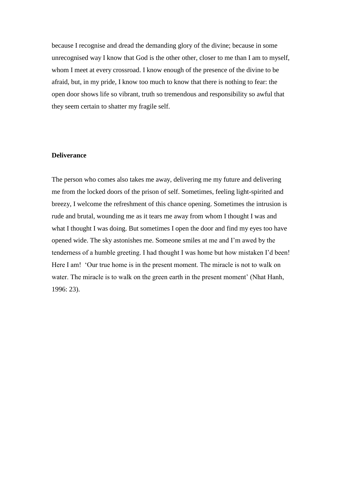because I recognise and dread the demanding glory of the divine; because in some unrecognised way I know that God is the other other, closer to me than I am to myself, whom I meet at every crossroad. I know enough of the presence of the divine to be afraid, but, in my pride, I know too much to know that there is nothing to fear: the open door shows life so vibrant, truth so tremendous and responsibility so awful that they seem certain to shatter my fragile self.

## **Deliverance**

The person who comes also takes me away, delivering me my future and delivering me from the locked doors of the prison of self. Sometimes, feeling light-spirited and breezy, I welcome the refreshment of this chance opening. Sometimes the intrusion is rude and brutal, wounding me as it tears me away from whom I thought I was and what I thought I was doing. But sometimes I open the door and find my eyes too have opened wide. The sky astonishes me. Someone smiles at me and I"m awed by the tenderness of a humble greeting. I had thought I was home but how mistaken I"d been! Here I am! 'Our true home is in the present moment. The miracle is not to walk on water. The miracle is to walk on the green earth in the present moment' (Nhat Hanh, 1996: 23).